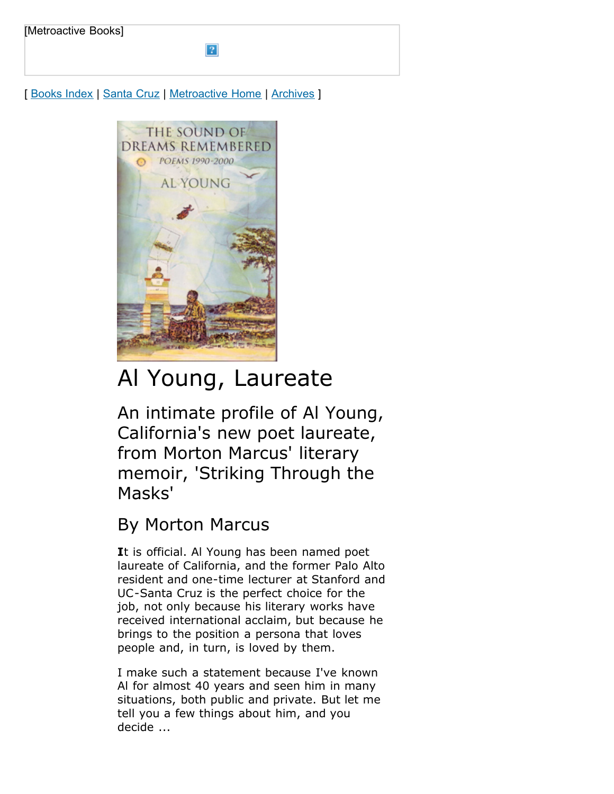[ [Books Index](http://metroactive.com/books/) | [Santa Cruz](http://www.metroactive.com/papers/cruz/05.25.05/index.html) | [Metroactive Home](http://metroactive.com/) | [Archives](http://metroactive.com/papers/cruz/archives.html) ]



## Al Young, Laureate

An intimate profile of Al Young, California's new poet laureate, from Morton Marcus' literary memoir, 'Striking Through the Masks'

## By Morton Marcus

**I**t is official. Al Young has been named poet laureate of California, and the former Palo Alto resident and one-time lecturer at Stanford and UC-Santa Cruz is the perfect choice for the job, not only because his literary works have received international acclaim, but because he brings to the position a persona that loves people and, in turn, is loved by them.

I make such a statement because I've known Al for almost 40 years and seen him in many situations, both public and private. But let me tell you a few things about him, and you decide ...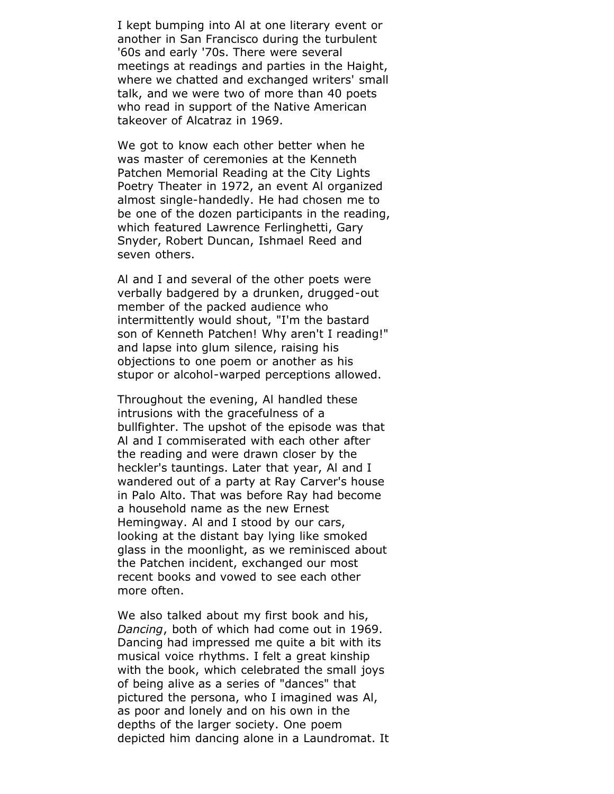I kept bumping into Al at one literary event or another in San Francisco during the turbulent '60s and early '70s. There were several meetings at readings and parties in the Haight, where we chatted and exchanged writers' small talk, and we were two of more than 40 poets who read in support of the Native American takeover of Alcatraz in 1969.

We got to know each other better when he was master of ceremonies at the Kenneth Patchen Memorial Reading at the City Lights Poetry Theater in 1972, an event Al organized almost single-handedly. He had chosen me to be one of the dozen participants in the reading, which featured Lawrence Ferlinghetti, Gary Snyder, Robert Duncan, Ishmael Reed and seven others.

Al and I and several of the other poets were verbally badgered by a drunken, drugged-out member of the packed audience who intermittently would shout, "I'm the bastard son of Kenneth Patchen! Why aren't I reading!" and lapse into glum silence, raising his objections to one poem or another as his stupor or alcohol-warped perceptions allowed.

Throughout the evening, Al handled these intrusions with the gracefulness of a bullfighter. The upshot of the episode was that Al and I commiserated with each other after the reading and were drawn closer by the heckler's tauntings. Later that year, Al and I wandered out of a party at Ray Carver's house in Palo Alto. That was before Ray had become a household name as the new Ernest Hemingway. Al and I stood by our cars, looking at the distant bay lying like smoked glass in the moonlight, as we reminisced about the Patchen incident, exchanged our most recent books and vowed to see each other more often.

We also talked about my first book and his, *Dancing*, both of which had come out in 1969. Dancing had impressed me quite a bit with its musical voice rhythms. I felt a great kinship with the book, which celebrated the small joys of being alive as a series of "dances" that pictured the persona, who I imagined was Al, as poor and lonely and on his own in the depths of the larger society. One poem depicted him dancing alone in a Laundromat. It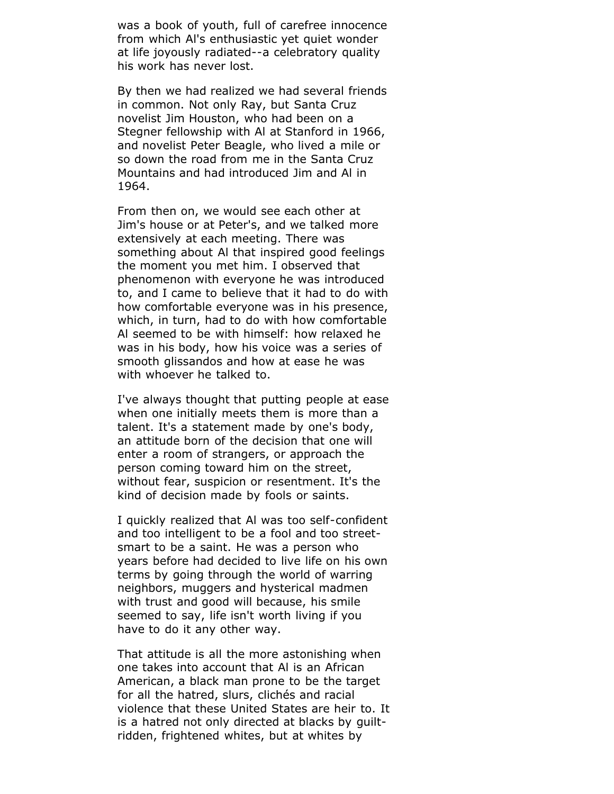was a book of youth, full of carefree innocence from which Al's enthusiastic yet quiet wonder at life joyously radiated--a celebratory quality his work has never lost.

By then we had realized we had several friends in common. Not only Ray, but Santa Cruz novelist Jim Houston, who had been on a Stegner fellowship with Al at Stanford in 1966, and novelist Peter Beagle, who lived a mile or so down the road from me in the Santa Cruz Mountains and had introduced Jim and Al in 1964.

From then on, we would see each other at Jim's house or at Peter's, and we talked more extensively at each meeting. There was something about Al that inspired good feelings the moment you met him. I observed that phenomenon with everyone he was introduced to, and I came to believe that it had to do with how comfortable everyone was in his presence, which, in turn, had to do with how comfortable Al seemed to be with himself: how relaxed he was in his body, how his voice was a series of smooth glissandos and how at ease he was with whoever he talked to.

I've always thought that putting people at ease when one initially meets them is more than a talent. It's a statement made by one's body, an attitude born of the decision that one will enter a room of strangers, or approach the person coming toward him on the street, without fear, suspicion or resentment. It's the kind of decision made by fools or saints.

I quickly realized that Al was too self-confident and too intelligent to be a fool and too streetsmart to be a saint. He was a person who years before had decided to live life on his own terms by going through the world of warring neighbors, muggers and hysterical madmen with trust and good will because, his smile seemed to say, life isn't worth living if you have to do it any other way.

That attitude is all the more astonishing when one takes into account that Al is an African American, a black man prone to be the target for all the hatred, slurs, clichés and racial violence that these United States are heir to. It is a hatred not only directed at blacks by guiltridden, frightened whites, but at whites by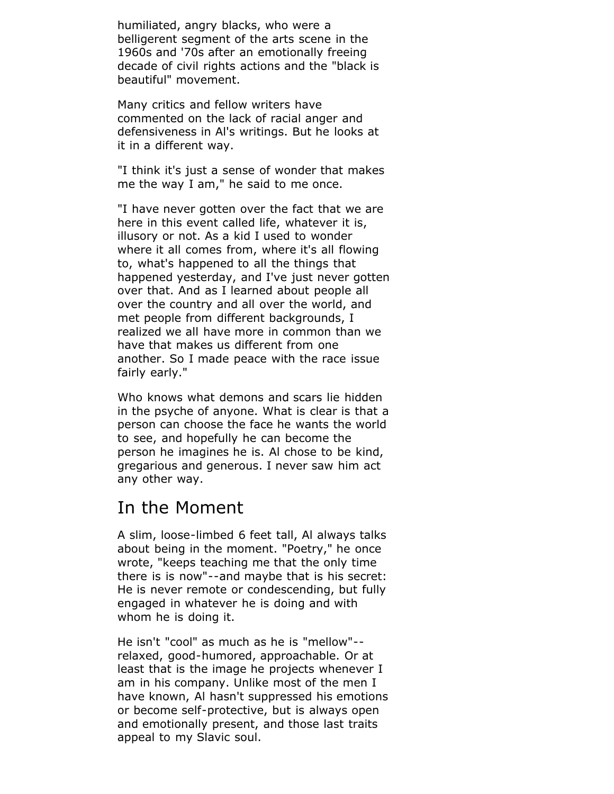humiliated, angry blacks, who were a belligerent segment of the arts scene in the 1960s and '70s after an emotionally freeing decade of civil rights actions and the "black is beautiful" movement.

Many critics and fellow writers have commented on the lack of racial anger and defensiveness in Al's writings. But he looks at it in a different way.

"I think it's just a sense of wonder that makes me the way I am," he said to me once.

"I have never gotten over the fact that we are here in this event called life, whatever it is, illusory or not. As a kid I used to wonder where it all comes from, where it's all flowing to, what's happened to all the things that happened vesterday, and I've just never gotten over that. And as I learned about people all over the country and all over the world, and met people from different backgrounds, I realized we all have more in common than we have that makes us different from one another. So I made peace with the race issue fairly early."

Who knows what demons and scars lie hidden in the psyche of anyone. What is clear is that a person can choose the face he wants the world to see, and hopefully he can become the person he imagines he is. Al chose to be kind, gregarious and generous. I never saw him act any other way.

## In the Moment

A slim, loose-limbed 6 feet tall, Al always talks about being in the moment. "Poetry," he once wrote, "keeps teaching me that the only time there is is now"--and maybe that is his secret: He is never remote or condescending, but fully engaged in whatever he is doing and with whom he is doing it.

He isn't "cool" as much as he is "mellow"- relaxed, good-humored, approachable. Or at least that is the image he projects whenever I am in his company. Unlike most of the men I have known, Al hasn't suppressed his emotions or become self-protective, but is always open and emotionally present, and those last traits appeal to my Slavic soul.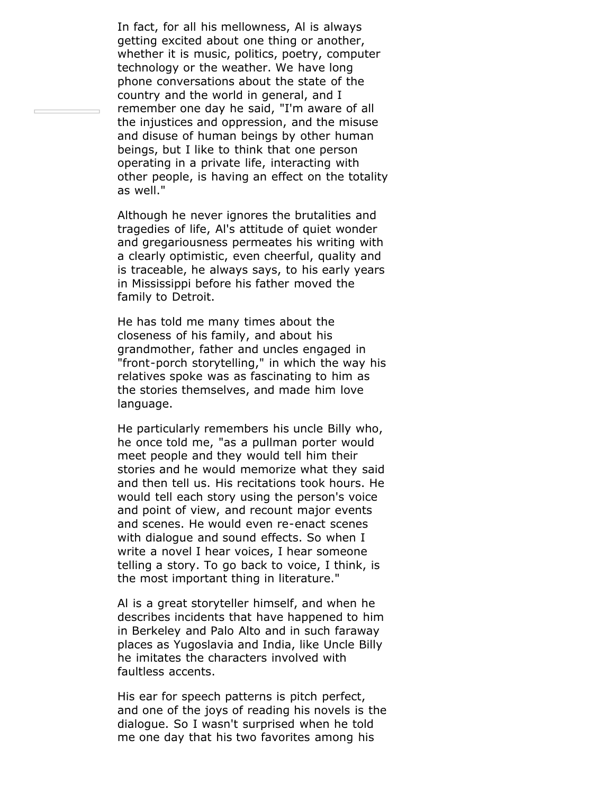In fact, for all his mellowness, Al is always getting excited about one thing or another, whether it is music, politics, poetry, computer technology or the weather. We have long phone conversations about the state of the country and the world in general, and I remember one day he said, "I'm aware of all the injustices and oppression, and the misuse and disuse of human beings by other human beings, but I like to think that one person operating in a private life, interacting with other people, is having an effect on the totality as well."

Although he never ignores the brutalities and tragedies of life, Al's attitude of quiet wonder and gregariousness permeates his writing with a clearly optimistic, even cheerful, quality and is traceable, he always says, to his early years in Mississippi before his father moved the family to Detroit.

He has told me many times about the closeness of his family, and about his grandmother, father and uncles engaged in "front-porch storytelling," in which the way his relatives spoke was as fascinating to him as the stories themselves, and made him love language.

He particularly remembers his uncle Billy who, he once told me, "as a pullman porter would meet people and they would tell him their stories and he would memorize what they said and then tell us. His recitations took hours. He would tell each story using the person's voice and point of view, and recount major events and scenes. He would even re-enact scenes with dialogue and sound effects. So when I write a novel I hear voices, I hear someone telling a story. To go back to voice, I think, is the most important thing in literature."

Al is a great storyteller himself, and when he describes incidents that have happened to him in Berkeley and Palo Alto and in such faraway places as Yugoslavia and India, like Uncle Billy he imitates the characters involved with faultless accents.

His ear for speech patterns is pitch perfect, and one of the joys of reading his novels is the dialogue. So I wasn't surprised when he told me one day that his two favorites among his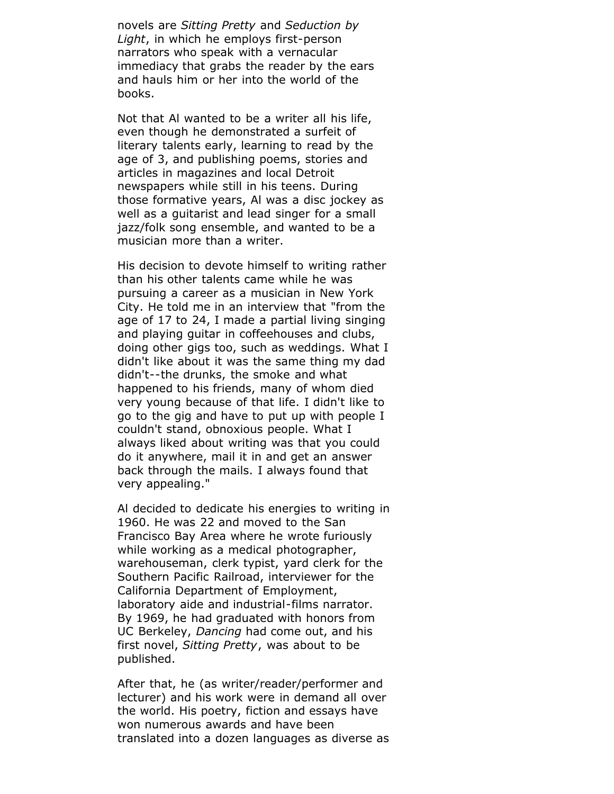novels are *Sitting Pretty* and *Seduction by Light*, in which he employs first-person narrators who speak with a vernacular immediacy that grabs the reader by the ears and hauls him or her into the world of the books.

Not that Al wanted to be a writer all his life, even though he demonstrated a surfeit of literary talents early, learning to read by the age of 3, and publishing poems, stories and articles in magazines and local Detroit newspapers while still in his teens. During those formative years, Al was a disc jockey as well as a guitarist and lead singer for a small jazz/folk song ensemble, and wanted to be a musician more than a writer.

His decision to devote himself to writing rather than his other talents came while he was pursuing a career as a musician in New York City. He told me in an interview that "from the age of 17 to 24, I made a partial living singing and playing guitar in coffeehouses and clubs, doing other gigs too, such as weddings. What I didn't like about it was the same thing my dad didn't--the drunks, the smoke and what happened to his friends, many of whom died very young because of that life. I didn't like to go to the gig and have to put up with people I couldn't stand, obnoxious people. What I always liked about writing was that you could do it anywhere, mail it in and get an answer back through the mails. I always found that very appealing."

Al decided to dedicate his energies to writing in 1960. He was 22 and moved to the San Francisco Bay Area where he wrote furiously while working as a medical photographer, warehouseman, clerk typist, yard clerk for the Southern Pacific Railroad, interviewer for the California Department of Employment, laboratory aide and industrial-films narrator. By 1969, he had graduated with honors from UC Berkeley, *Dancing* had come out, and his first novel, *Sitting Pretty*, was about to be published.

After that, he (as writer/reader/performer and lecturer) and his work were in demand all over the world. His poetry, fiction and essays have won numerous awards and have been translated into a dozen languages as diverse as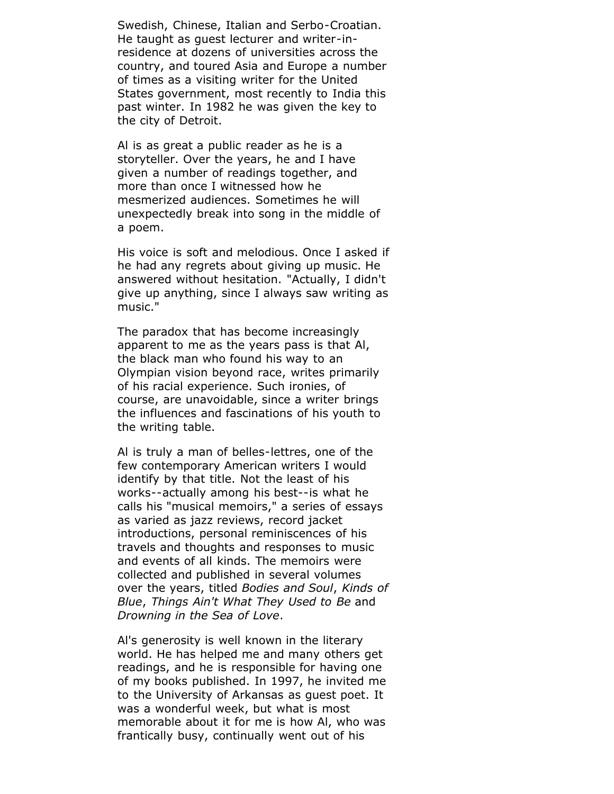Swedish, Chinese, Italian and Serbo-Croatian. He taught as guest lecturer and writer-inresidence at dozens of universities across the country, and toured Asia and Europe a number of times as a visiting writer for the United States government, most recently to India this past winter. In 1982 he was given the key to the city of Detroit.

Al is as great a public reader as he is a storyteller. Over the years, he and I have given a number of readings together, and more than once I witnessed how he mesmerized audiences. Sometimes he will unexpectedly break into song in the middle of a poem.

His voice is soft and melodious. Once I asked if he had any regrets about giving up music. He answered without hesitation. "Actually, I didn't give up anything, since I always saw writing as music."

The paradox that has become increasingly apparent to me as the years pass is that Al, the black man who found his way to an Olympian vision beyond race, writes primarily of his racial experience. Such ironies, of course, are unavoidable, since a writer brings the influences and fascinations of his youth to the writing table.

Al is truly a man of belles-lettres, one of the few contemporary American writers I would identify by that title. Not the least of his works--actually among his best--is what he calls his "musical memoirs," a series of essays as varied as jazz reviews, record jacket introductions, personal reminiscences of his travels and thoughts and responses to music and events of all kinds. The memoirs were collected and published in several volumes over the years, titled *Bodies and Soul*, *Kinds of Blue*, *Things Ain't What They Used to Be* and *Drowning in the Sea of Love*.

Al's generosity is well known in the literary world. He has helped me and many others get readings, and he is responsible for having one of my books published. In 1997, he invited me to the University of Arkansas as guest poet. It was a wonderful week, but what is most memorable about it for me is how Al, who was frantically busy, continually went out of his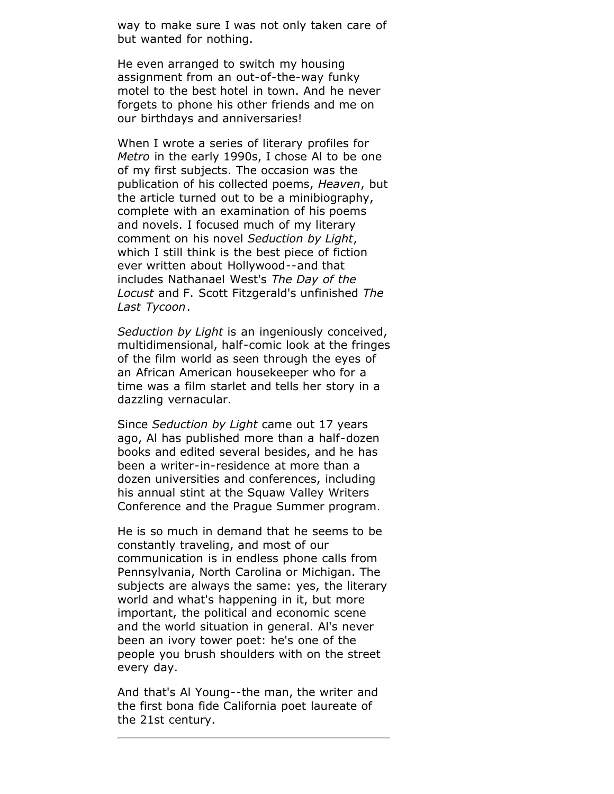way to make sure I was not only taken care of but wanted for nothing.

He even arranged to switch my housing assignment from an out-of-the-way funky motel to the best hotel in town. And he never forgets to phone his other friends and me on our birthdays and anniversaries!

When I wrote a series of literary profiles for *Metro* in the early 1990s, I chose Al to be one of my first subjects. The occasion was the publication of his collected poems, *Heaven*, but the article turned out to be a minibiography, complete with an examination of his poems and novels. I focused much of my literary comment on his novel *Seduction by Light*, which I still think is the best piece of fiction ever written about Hollywood--and that includes Nathanael West's *The Day of the Locust* and F. Scott Fitzgerald's unfinished *The Last Tycoon*.

*Seduction by Light* is an ingeniously conceived, multidimensional, half-comic look at the fringes of the film world as seen through the eyes of an African American housekeeper who for a time was a film starlet and tells her story in a dazzling vernacular.

Since *Seduction by Light* came out 17 years ago, Al has published more than a half-dozen books and edited several besides, and he has been a writer-in-residence at more than a dozen universities and conferences, including his annual stint at the Squaw Valley Writers Conference and the Prague Summer program.

He is so much in demand that he seems to be constantly traveling, and most of our communication is in endless phone calls from Pennsylvania, North Carolina or Michigan. The subjects are always the same: yes, the literary world and what's happening in it, but more important, the political and economic scene and the world situation in general. Al's never been an ivory tower poet: he's one of the people you brush shoulders with on the street every day.

And that's Al Young--the man, the writer and the first bona fide California poet laureate of the 21st century.